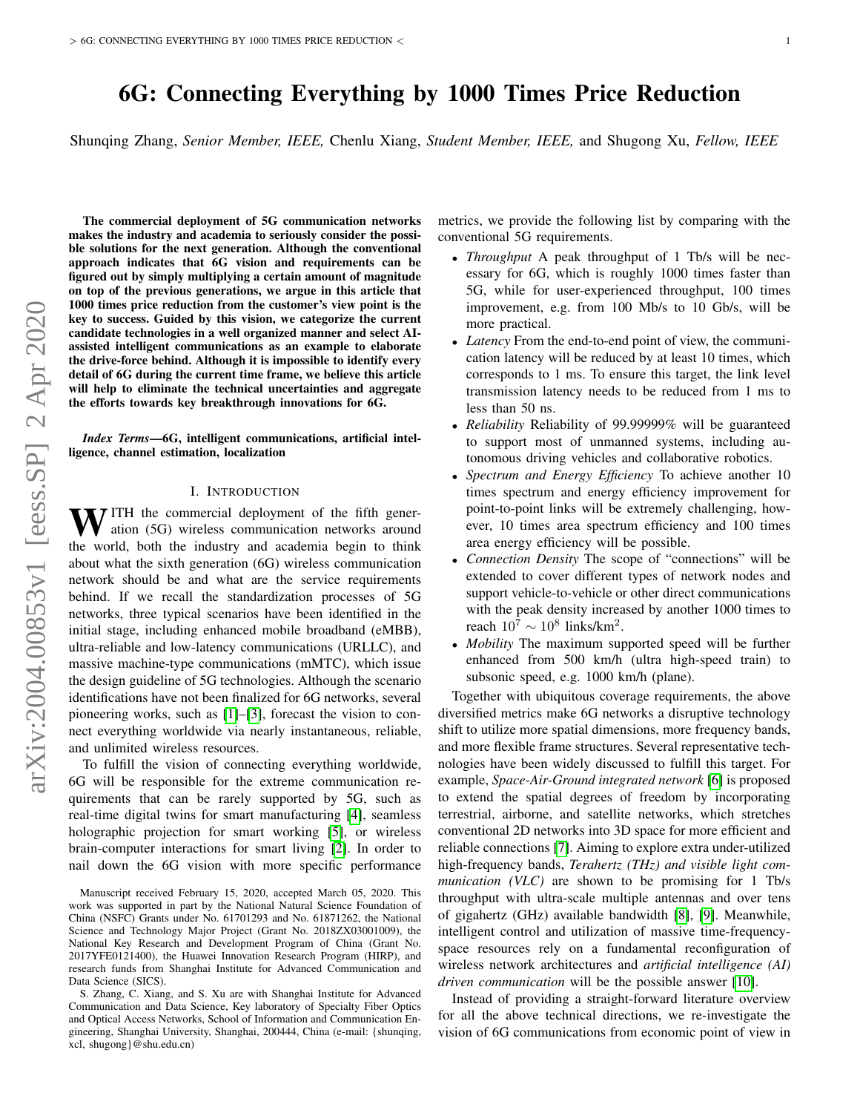# 6G: Connecting Everything by 1000 Times Price Reduction

Shunqing Zhang, *Senior Member, IEEE,* Chenlu Xiang, *Student Member, IEEE,* and Shugong Xu, *Fellow, IEEE*

The commercial deployment of 5G communication networks makes the industry and academia to seriously consider the possible solutions for the next generation. Although the conventional approach indicates that 6G vision and requirements can be figured out by simply multiplying a certain amount of magnitude on top of the previous generations, we argue in this article that 1000 times price reduction from the customer's view point is the key to success. Guided by this vision, we categorize the current candidate technologies in a well organized manner and select AIassisted intelligent communications as an example to elaborate the drive-force behind. Although it is impossible to identify every detail of 6G during the current time frame, we believe this article will help to eliminate the technical uncertainties and aggregate the efforts towards key breakthrough innovations for 6G.

*Index Terms*—6G, intelligent communications, artificial intelligence, channel estimation, localization

## I. INTRODUCTION

 $\mathbf{W}$  ITH the commercial deployment of the fifth generation (5G) wireless communication networks around the world, both the industry and academia begin to think about what the sixth generation (6G) wireless communication network should be and what are the service requirements behind. If we recall the standardization processes of 5G networks, three typical scenarios have been identified in the initial stage, including enhanced mobile broadband (eMBB), ultra-reliable and low-latency communications (URLLC), and massive machine-type communications (mMTC), which issue the design guideline of 5G technologies. Although the scenario identifications have not been finalized for 6G networks, several pioneering works, such as [\[1\]](#page-6-0)–[\[3\]](#page-6-1), forecast the vision to connect everything worldwide via nearly instantaneous, reliable, and unlimited wireless resources.

To fulfill the vision of connecting everything worldwide, 6G will be responsible for the extreme communication requirements that can be rarely supported by 5G, such as real-time digital twins for smart manufacturing [\[4\]](#page-6-2), seamless holographic projection for smart working [\[5\]](#page-6-3), or wireless brain-computer interactions for smart living [\[2\]](#page-6-4). In order to nail down the 6G vision with more specific performance metrics, we provide the following list by comparing with the conventional 5G requirements.

- *Throughput* A peak throughput of 1 Tb/s will be necessary for 6G, which is roughly 1000 times faster than 5G, while for user-experienced throughput, 100 times improvement, e.g. from 100 Mb/s to 10 Gb/s, will be more practical.
- *Latency* From the end-to-end point of view, the communication latency will be reduced by at least 10 times, which corresponds to 1 ms. To ensure this target, the link level transmission latency needs to be reduced from 1 ms to less than 50 ns.
- *Reliability* Reliability of 99.99999% will be guaranteed to support most of unmanned systems, including autonomous driving vehicles and collaborative robotics.
- *Spectrum and Energy Efficiency* To achieve another 10 times spectrum and energy efficiency improvement for point-to-point links will be extremely challenging, however, 10 times area spectrum efficiency and 100 times area energy efficiency will be possible.
- *Connection Density* The scope of "connections" will be extended to cover different types of network nodes and support vehicle-to-vehicle or other direct communications with the peak density increased by another 1000 times to reach  $10^7 \sim 10^8$  links/km<sup>2</sup>.
- *Mobility* The maximum supported speed will be further enhanced from 500 km/h (ultra high-speed train) to subsonic speed, e.g. 1000 km/h (plane).

Together with ubiquitous coverage requirements, the above diversified metrics make 6G networks a disruptive technology shift to utilize more spatial dimensions, more frequency bands, and more flexible frame structures. Several representative technologies have been widely discussed to fulfill this target. For example, *Space-Air-Ground integrated network* [\[6\]](#page-6-5) is proposed to extend the spatial degrees of freedom by incorporating terrestrial, airborne, and satellite networks, which stretches conventional 2D networks into 3D space for more efficient and reliable connections [\[7\]](#page-6-6). Aiming to explore extra under-utilized high-frequency bands, *Terahertz (THz) and visible light communication (VLC)* are shown to be promising for 1 Tb/s throughput with ultra-scale multiple antennas and over tens of gigahertz (GHz) available bandwidth [\[8\]](#page-6-7), [\[9\]](#page-6-8). Meanwhile, intelligent control and utilization of massive time-frequencyspace resources rely on a fundamental reconfiguration of wireless network architectures and *artificial intelligence (AI) driven communication* will be the possible answer [\[10\]](#page-6-9).

Instead of providing a straight-forward literature overview for all the above technical directions, we re-investigate the vision of 6G communications from economic point of view in

Manuscript received February 15, 2020, accepted March 05, 2020. This work was supported in part by the National Natural Science Foundation of China (NSFC) Grants under No. 61701293 and No. 61871262, the National Science and Technology Major Project (Grant No. 2018ZX03001009), the National Key Research and Development Program of China (Grant No. 2017YFE0121400), the Huawei Innovation Research Program (HIRP), and research funds from Shanghai Institute for Advanced Communication and Data Science (SICS).

S. Zhang, C. Xiang, and S. Xu are with Shanghai Institute for Advanced Communication and Data Science, Key laboratory of Specialty Fiber Optics and Optical Access Networks, School of Information and Communication Engineering, Shanghai University, Shanghai, 200444, China (e-mail: {shunqing, xcl, shugong}@shu.edu.cn)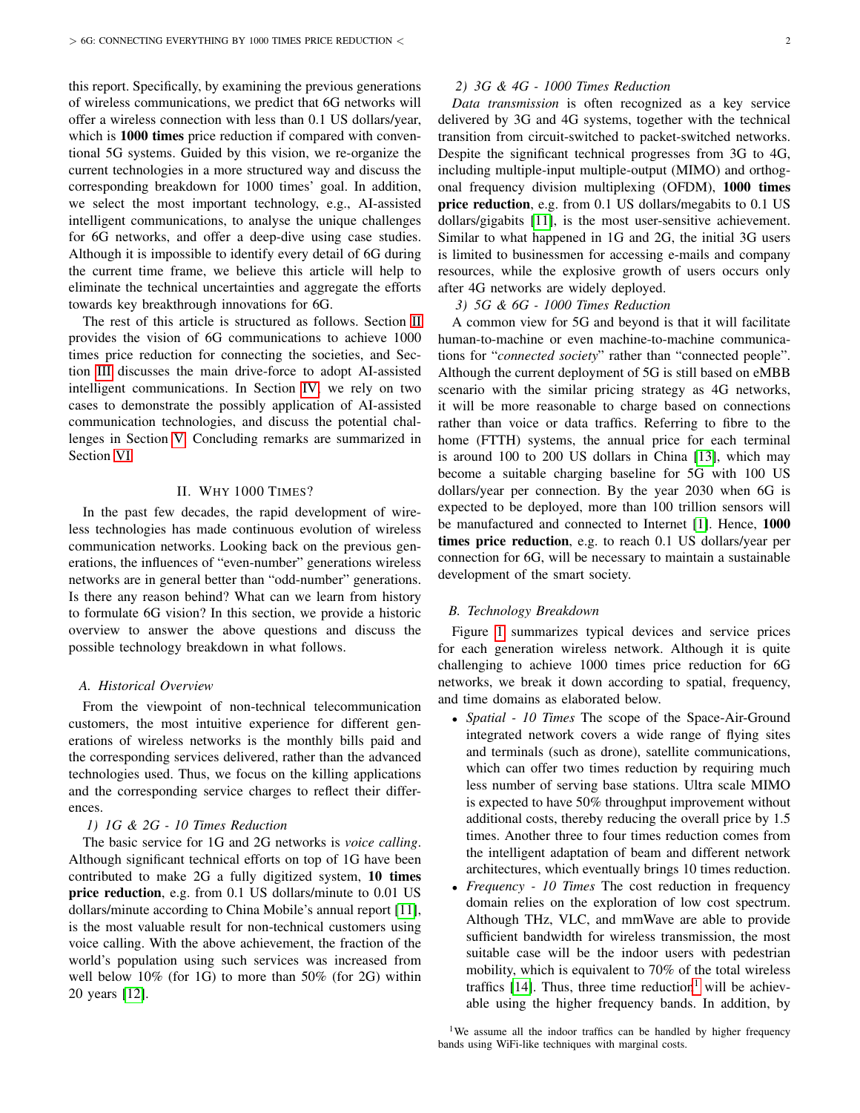this report. Specifically, by examining the previous generations of wireless communications, we predict that 6G networks will offer a wireless connection with less than 0.1 US dollars/year, which is 1000 times price reduction if compared with conventional 5G systems. Guided by this vision, we re-organize the current technologies in a more structured way and discuss the corresponding breakdown for 1000 times' goal. In addition, we select the most important technology, e.g., AI-assisted intelligent communications, to analyse the unique challenges for 6G networks, and offer a deep-dive using case studies. Although it is impossible to identify every detail of 6G during the current time frame, we believe this article will help to eliminate the technical uncertainties and aggregate the efforts towards key breakthrough innovations for 6G.

The rest of this article is structured as follows. Section [II](#page-1-0) provides the vision of 6G communications to achieve 1000 times price reduction for connecting the societies, and Section [III](#page-2-0) discusses the main drive-force to adopt AI-assisted intelligent communications. In Section [IV,](#page-3-0) we rely on two cases to demonstrate the possibly application of AI-assisted communication technologies, and discuss the potential challenges in Section [V.](#page-5-0) Concluding remarks are summarized in Section [VI.](#page-6-10)

# II. WHY 1000 TIMES?

<span id="page-1-0"></span>In the past few decades, the rapid development of wireless technologies has made continuous evolution of wireless communication networks. Looking back on the previous generations, the influences of "even-number" generations wireless networks are in general better than "odd-number" generations. Is there any reason behind? What can we learn from history to formulate 6G vision? In this section, we provide a historic overview to answer the above questions and discuss the possible technology breakdown in what follows.

### *A. Historical Overview*

From the viewpoint of non-technical telecommunication customers, the most intuitive experience for different generations of wireless networks is the monthly bills paid and the corresponding services delivered, rather than the advanced technologies used. Thus, we focus on the killing applications and the corresponding service charges to reflect their differences.

# *1) 1G & 2G - 10 Times Reduction*

The basic service for 1G and 2G networks is *voice calling*. Although significant technical efforts on top of 1G have been contributed to make 2G a fully digitized system, 10 times price reduction, e.g. from 0.1 US dollars/minute to 0.01 US dollars/minute according to China Mobile's annual report [\[11\]](#page-6-11), is the most valuable result for non-technical customers using voice calling. With the above achievement, the fraction of the world's population using such services was increased from well below 10% (for 1G) to more than 50% (for 2G) within 20 years [\[12\]](#page-6-12).

# *2) 3G & 4G - 1000 Times Reduction*

*Data transmission* is often recognized as a key service delivered by 3G and 4G systems, together with the technical transition from circuit-switched to packet-switched networks. Despite the significant technical progresses from 3G to 4G, including multiple-input multiple-output (MIMO) and orthogonal frequency division multiplexing (OFDM), 1000 times price reduction, e.g. from 0.1 US dollars/megabits to 0.1 US dollars/gigabits [\[11\]](#page-6-11), is the most user-sensitive achievement. Similar to what happened in 1G and 2G, the initial 3G users is limited to businessmen for accessing e-mails and company resources, while the explosive growth of users occurs only after 4G networks are widely deployed.

*3) 5G & 6G - 1000 Times Reduction*

A common view for 5G and beyond is that it will facilitate human-to-machine or even machine-to-machine communications for "*connected society*" rather than "connected people". Although the current deployment of 5G is still based on eMBB scenario with the similar pricing strategy as 4G networks, it will be more reasonable to charge based on connections rather than voice or data traffics. Referring to fibre to the home (FTTH) systems, the annual price for each terminal is around 100 to 200 US dollars in China [\[13\]](#page-6-13), which may become a suitable charging baseline for 5G with 100 US dollars/year per connection. By the year 2030 when 6G is expected to be deployed, more than 100 trillion sensors will be manufactured and connected to Internet [\[1\]](#page-6-0). Hence, 1000 times price reduction, e.g. to reach 0.1 US dollars/year per connection for 6G, will be necessary to maintain a sustainable development of the smart society.

#### *B. Technology Breakdown*

Figure [1](#page-2-1) summarizes typical devices and service prices for each generation wireless network. Although it is quite challenging to achieve 1000 times price reduction for 6G networks, we break it down according to spatial, frequency, and time domains as elaborated below.

- *Spatial 10 Times* The scope of the Space-Air-Ground integrated network covers a wide range of flying sites and terminals (such as drone), satellite communications, which can offer two times reduction by requiring much less number of serving base stations. Ultra scale MIMO is expected to have 50% throughput improvement without additional costs, thereby reducing the overall price by 1.5 times. Another three to four times reduction comes from the intelligent adaptation of beam and different network architectures, which eventually brings 10 times reduction.
- *Frequency 10 Times* The cost reduction in frequency domain relies on the exploration of low cost spectrum. Although THz, VLC, and mmWave are able to provide sufficient bandwidth for wireless transmission, the most suitable case will be the indoor users with pedestrian mobility, which is equivalent to 70% of the total wireless traffics  $[14]$ . Thus, three time reduction<sup>[1](#page-1-1)</sup> will be achievable using the higher frequency bands. In addition, by

<span id="page-1-1"></span><sup>&</sup>lt;sup>1</sup>We assume all the indoor traffics can be handled by higher frequency bands using WiFi-like techniques with marginal costs.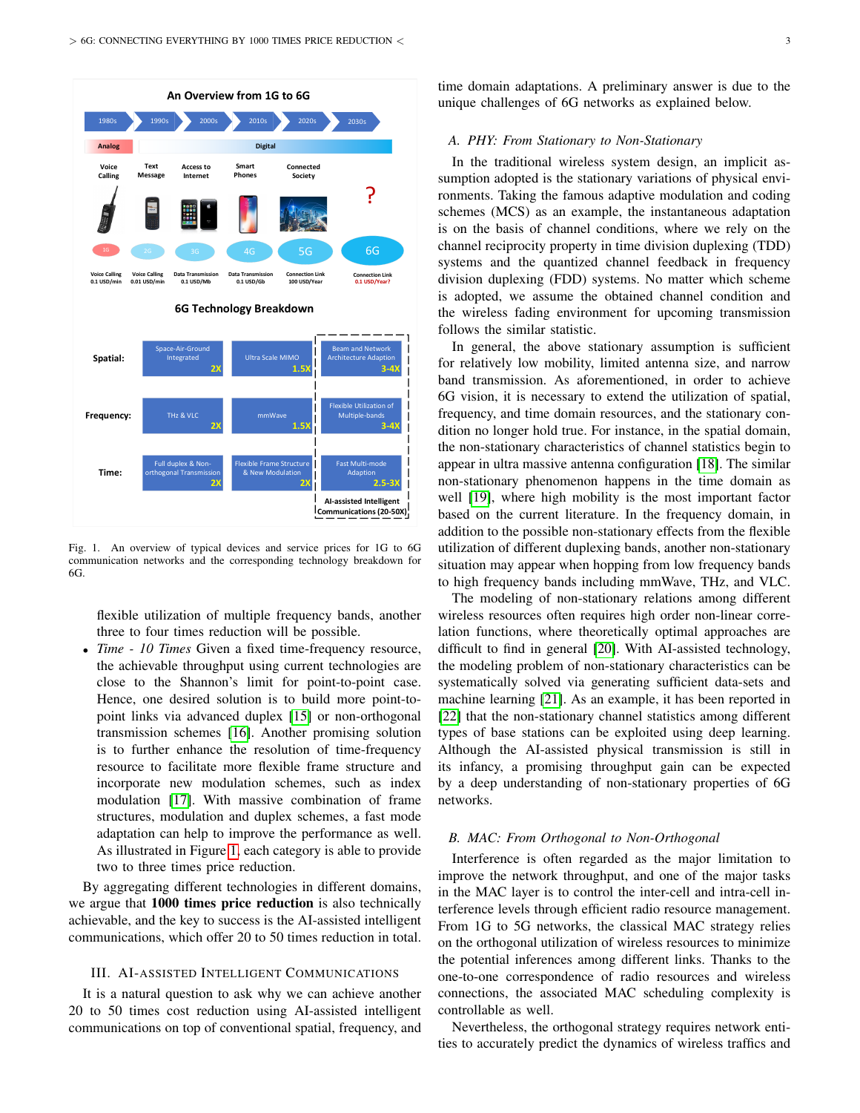

<span id="page-2-1"></span>Fig. 1. An overview of typical devices and service prices for 1G to 6G communication networks and the corresponding technology breakdown for 6G.

flexible utilization of multiple frequency bands, another three to four times reduction will be possible.

• *Time - 10 Times* Given a fixed time-frequency resource, the achievable throughput using current technologies are close to the Shannon's limit for point-to-point case. Hence, one desired solution is to build more point-topoint links via advanced duplex [\[15\]](#page-6-15) or non-orthogonal transmission schemes [\[16\]](#page-6-16). Another promising solution is to further enhance the resolution of time-frequency resource to facilitate more flexible frame structure and incorporate new modulation schemes, such as index modulation [\[17\]](#page-6-17). With massive combination of frame structures, modulation and duplex schemes, a fast mode adaptation can help to improve the performance as well. As illustrated in Figure [1,](#page-2-1) each category is able to provide two to three times price reduction.

By aggregating different technologies in different domains, we argue that **1000 times price reduction** is also technically achievable, and the key to success is the AI-assisted intelligent communications, which offer 20 to 50 times reduction in total.

#### <span id="page-2-0"></span>III. AI-ASSISTED INTELLIGENT COMMUNICATIONS

It is a natural question to ask why we can achieve another 20 to 50 times cost reduction using AI-assisted intelligent communications on top of conventional spatial, frequency, and time domain adaptations. A preliminary answer is due to the unique challenges of 6G networks as explained below.

# *A. PHY: From Stationary to Non-Stationary*

In the traditional wireless system design, an implicit assumption adopted is the stationary variations of physical environments. Taking the famous adaptive modulation and coding schemes (MCS) as an example, the instantaneous adaptation is on the basis of channel conditions, where we rely on the channel reciprocity property in time division duplexing (TDD) systems and the quantized channel feedback in frequency division duplexing (FDD) systems. No matter which scheme is adopted, we assume the obtained channel condition and the wireless fading environment for upcoming transmission follows the similar statistic.

In general, the above stationary assumption is sufficient for relatively low mobility, limited antenna size, and narrow band transmission. As aforementioned, in order to achieve 6G vision, it is necessary to extend the utilization of spatial, frequency, and time domain resources, and the stationary condition no longer hold true. For instance, in the spatial domain, the non-stationary characteristics of channel statistics begin to appear in ultra massive antenna configuration [\[18\]](#page-6-18). The similar non-stationary phenomenon happens in the time domain as well [\[19\]](#page-6-19), where high mobility is the most important factor based on the current literature. In the frequency domain, in addition to the possible non-stationary effects from the flexible utilization of different duplexing bands, another non-stationary situation may appear when hopping from low frequency bands to high frequency bands including mmWave, THz, and VLC.

The modeling of non-stationary relations among different wireless resources often requires high order non-linear correlation functions, where theoretically optimal approaches are difficult to find in general [\[20\]](#page-6-20). With AI-assisted technology, the modeling problem of non-stationary characteristics can be systematically solved via generating sufficient data-sets and machine learning [\[21\]](#page-6-21). As an example, it has been reported in [\[22\]](#page-7-0) that the non-stationary channel statistics among different types of base stations can be exploited using deep learning. Although the AI-assisted physical transmission is still in its infancy, a promising throughput gain can be expected by a deep understanding of non-stationary properties of 6G networks.

#### *B. MAC: From Orthogonal to Non-Orthogonal*

Interference is often regarded as the major limitation to improve the network throughput, and one of the major tasks in the MAC layer is to control the inter-cell and intra-cell interference levels through efficient radio resource management. From 1G to 5G networks, the classical MAC strategy relies on the orthogonal utilization of wireless resources to minimize the potential inferences among different links. Thanks to the one-to-one correspondence of radio resources and wireless connections, the associated MAC scheduling complexity is controllable as well.

Nevertheless, the orthogonal strategy requires network entities to accurately predict the dynamics of wireless traffics and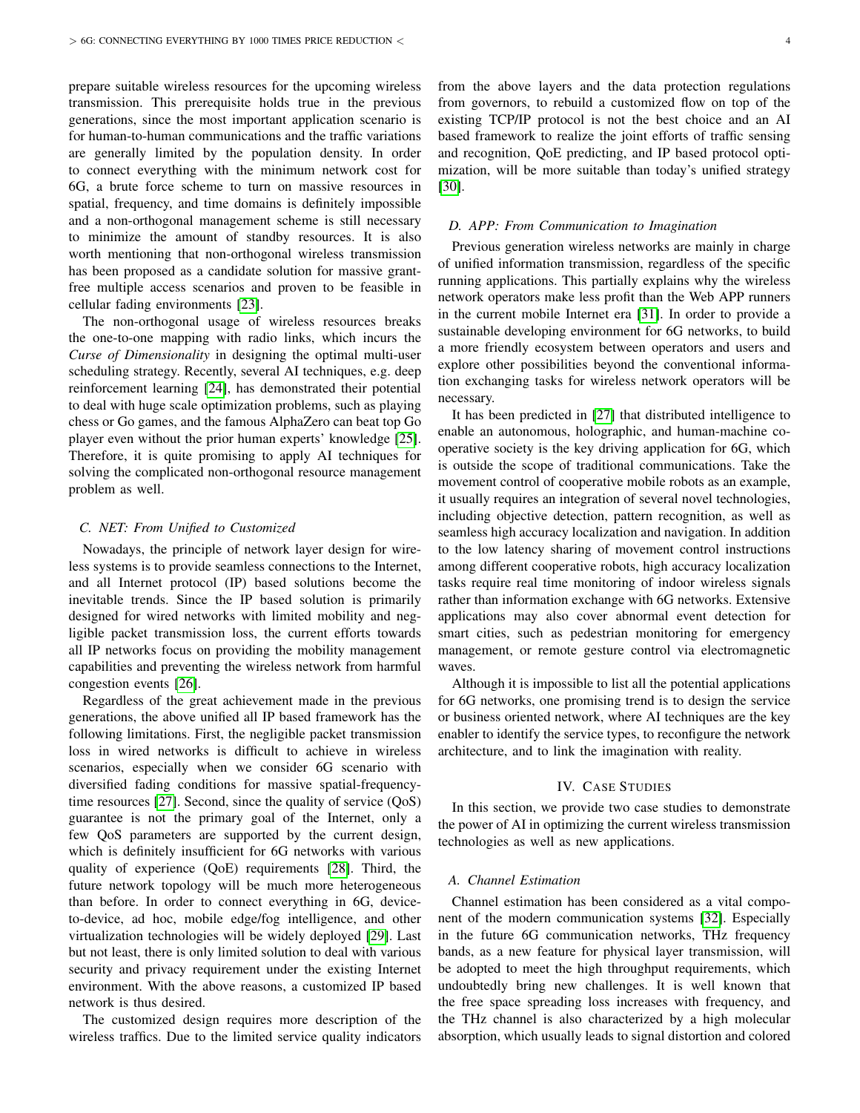prepare suitable wireless resources for the upcoming wireless transmission. This prerequisite holds true in the previous generations, since the most important application scenario is for human-to-human communications and the traffic variations are generally limited by the population density. In order to connect everything with the minimum network cost for 6G, a brute force scheme to turn on massive resources in spatial, frequency, and time domains is definitely impossible and a non-orthogonal management scheme is still necessary to minimize the amount of standby resources. It is also worth mentioning that non-orthogonal wireless transmission has been proposed as a candidate solution for massive grantfree multiple access scenarios and proven to be feasible in cellular fading environments [\[23\]](#page-7-1).

The non-orthogonal usage of wireless resources breaks the one-to-one mapping with radio links, which incurs the *Curse of Dimensionality* in designing the optimal multi-user scheduling strategy. Recently, several AI techniques, e.g. deep reinforcement learning [\[24\]](#page-7-2), has demonstrated their potential to deal with huge scale optimization problems, such as playing chess or Go games, and the famous AlphaZero can beat top Go player even without the prior human experts' knowledge [\[25\]](#page-7-3). Therefore, it is quite promising to apply AI techniques for solving the complicated non-orthogonal resource management problem as well.

#### *C. NET: From Unified to Customized*

Nowadays, the principle of network layer design for wireless systems is to provide seamless connections to the Internet, and all Internet protocol (IP) based solutions become the inevitable trends. Since the IP based solution is primarily designed for wired networks with limited mobility and negligible packet transmission loss, the current efforts towards all IP networks focus on providing the mobility management capabilities and preventing the wireless network from harmful congestion events [\[26\]](#page-7-4).

Regardless of the great achievement made in the previous generations, the above unified all IP based framework has the following limitations. First, the negligible packet transmission loss in wired networks is difficult to achieve in wireless scenarios, especially when we consider 6G scenario with diversified fading conditions for massive spatial-frequencytime resources [\[27\]](#page-7-5). Second, since the quality of service (QoS) guarantee is not the primary goal of the Internet, only a few QoS parameters are supported by the current design, which is definitely insufficient for 6G networks with various quality of experience (QoE) requirements [\[28\]](#page-7-6). Third, the future network topology will be much more heterogeneous than before. In order to connect everything in 6G, deviceto-device, ad hoc, mobile edge/fog intelligence, and other virtualization technologies will be widely deployed [\[29\]](#page-7-7). Last but not least, there is only limited solution to deal with various security and privacy requirement under the existing Internet environment. With the above reasons, a customized IP based network is thus desired.

The customized design requires more description of the wireless traffics. Due to the limited service quality indicators

from the above layers and the data protection regulations from governors, to rebuild a customized flow on top of the existing TCP/IP protocol is not the best choice and an AI based framework to realize the joint efforts of traffic sensing and recognition, QoE predicting, and IP based protocol optimization, will be more suitable than today's unified strategy [\[30\]](#page-7-8).

#### *D. APP: From Communication to Imagination*

Previous generation wireless networks are mainly in charge of unified information transmission, regardless of the specific running applications. This partially explains why the wireless network operators make less profit than the Web APP runners in the current mobile Internet era [\[31\]](#page-7-9). In order to provide a sustainable developing environment for 6G networks, to build a more friendly ecosystem between operators and users and explore other possibilities beyond the conventional information exchanging tasks for wireless network operators will be necessary.

It has been predicted in [\[27\]](#page-7-5) that distributed intelligence to enable an autonomous, holographic, and human-machine cooperative society is the key driving application for 6G, which is outside the scope of traditional communications. Take the movement control of cooperative mobile robots as an example, it usually requires an integration of several novel technologies, including objective detection, pattern recognition, as well as seamless high accuracy localization and navigation. In addition to the low latency sharing of movement control instructions among different cooperative robots, high accuracy localization tasks require real time monitoring of indoor wireless signals rather than information exchange with 6G networks. Extensive applications may also cover abnormal event detection for smart cities, such as pedestrian monitoring for emergency management, or remote gesture control via electromagnetic waves.

Although it is impossible to list all the potential applications for 6G networks, one promising trend is to design the service or business oriented network, where AI techniques are the key enabler to identify the service types, to reconfigure the network architecture, and to link the imagination with reality.

# IV. CASE STUDIES

<span id="page-3-0"></span>In this section, we provide two case studies to demonstrate the power of AI in optimizing the current wireless transmission technologies as well as new applications.

## *A. Channel Estimation*

Channel estimation has been considered as a vital component of the modern communication systems [\[32\]](#page-7-10). Especially in the future 6G communication networks, THz frequency bands, as a new feature for physical layer transmission, will be adopted to meet the high throughput requirements, which undoubtedly bring new challenges. It is well known that the free space spreading loss increases with frequency, and the THz channel is also characterized by a high molecular absorption, which usually leads to signal distortion and colored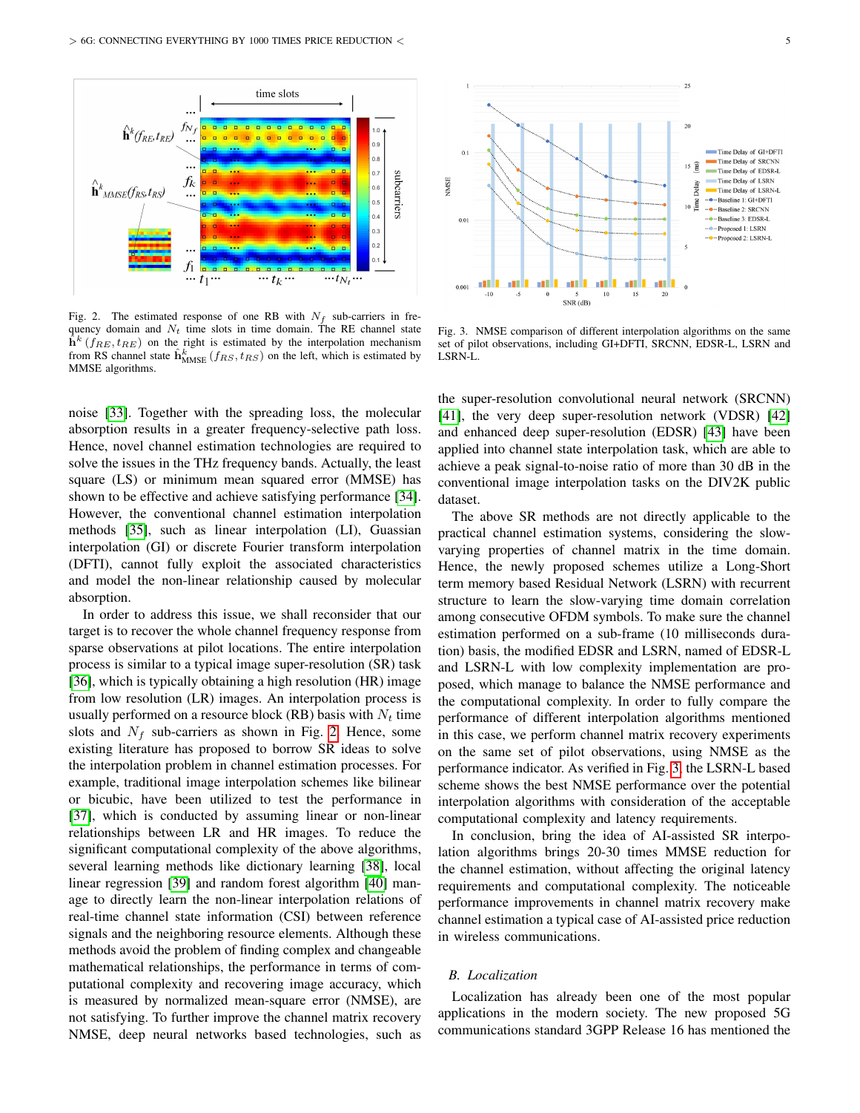

<span id="page-4-0"></span>Fig. 2. The estimated response of one RB with  $N_f$  sub-carriers in frequency domain and  $N_t$  time slots in time domain. The RE channel state  $\hat{\mathbf{h}}^k$  ( $f_{RE}, t_{RE}$ ) on the right is estimated by the interpolation mechanism from RS channel state  $\hat{\mathbf{h}}_{MMSE}^k$  ( $f_{RS}, t_{RS}$ ) on the left, which is estimated by MMSE algorithms.

noise [\[33\]](#page-7-11). Together with the spreading loss, the molecular absorption results in a greater frequency-selective path loss. Hence, novel channel estimation technologies are required to solve the issues in the THz frequency bands. Actually, the least square (LS) or minimum mean squared error (MMSE) has shown to be effective and achieve satisfying performance [\[34\]](#page-7-12). However, the conventional channel estimation interpolation methods [\[35\]](#page-7-13), such as linear interpolation (LI), Guassian interpolation (GI) or discrete Fourier transform interpolation (DFTI), cannot fully exploit the associated characteristics and model the non-linear relationship caused by molecular absorption.

In order to address this issue, we shall reconsider that our target is to recover the whole channel frequency response from sparse observations at pilot locations. The entire interpolation process is similar to a typical image super-resolution (SR) task [\[36\]](#page-7-14), which is typically obtaining a high resolution (HR) image from low resolution (LR) images. An interpolation process is usually performed on a resource block (RB) basis with  $N_t$  time slots and  $N_f$  sub-carriers as shown in Fig. [2.](#page-4-0) Hence, some existing literature has proposed to borrow SR ideas to solve the interpolation problem in channel estimation processes. For example, traditional image interpolation schemes like bilinear or bicubic, have been utilized to test the performance in [\[37\]](#page-7-15), which is conducted by assuming linear or non-linear relationships between LR and HR images. To reduce the significant computational complexity of the above algorithms, several learning methods like dictionary learning [\[38\]](#page-7-16), local linear regression [\[39\]](#page-7-17) and random forest algorithm [\[40\]](#page-7-18) manage to directly learn the non-linear interpolation relations of real-time channel state information (CSI) between reference signals and the neighboring resource elements. Although these methods avoid the problem of finding complex and changeable mathematical relationships, the performance in terms of computational complexity and recovering image accuracy, which is measured by normalized mean-square error (NMSE), are not satisfying. To further improve the channel matrix recovery NMSE, deep neural networks based technologies, such as



<span id="page-4-1"></span>Fig. 3. NMSE comparison of different interpolation algorithms on the same set of pilot observations, including GI+DFTI, SRCNN, EDSR-L, LSRN and LSRN-L.

the super-resolution convolutional neural network (SRCNN) [\[41\]](#page-7-19), the very deep super-resolution network (VDSR) [\[42\]](#page-7-20) and enhanced deep super-resolution (EDSR) [\[43\]](#page-7-21) have been applied into channel state interpolation task, which are able to achieve a peak signal-to-noise ratio of more than 30 dB in the conventional image interpolation tasks on the DIV2K public dataset.

The above SR methods are not directly applicable to the practical channel estimation systems, considering the slowvarying properties of channel matrix in the time domain. Hence, the newly proposed schemes utilize a Long-Short term memory based Residual Network (LSRN) with recurrent structure to learn the slow-varying time domain correlation among consecutive OFDM symbols. To make sure the channel estimation performed on a sub-frame (10 milliseconds duration) basis, the modified EDSR and LSRN, named of EDSR-L and LSRN-L with low complexity implementation are proposed, which manage to balance the NMSE performance and the computational complexity. In order to fully compare the performance of different interpolation algorithms mentioned in this case, we perform channel matrix recovery experiments on the same set of pilot observations, using NMSE as the performance indicator. As verified in Fig. [3,](#page-4-1) the LSRN-L based scheme shows the best NMSE performance over the potential interpolation algorithms with consideration of the acceptable computational complexity and latency requirements.

In conclusion, bring the idea of AI-assisted SR interpolation algorithms brings 20-30 times MMSE reduction for the channel estimation, without affecting the original latency requirements and computational complexity. The noticeable performance improvements in channel matrix recovery make channel estimation a typical case of AI-assisted price reduction in wireless communications.

# *B. Localization*

Localization has already been one of the most popular applications in the modern society. The new proposed 5G communications standard 3GPP Release 16 has mentioned the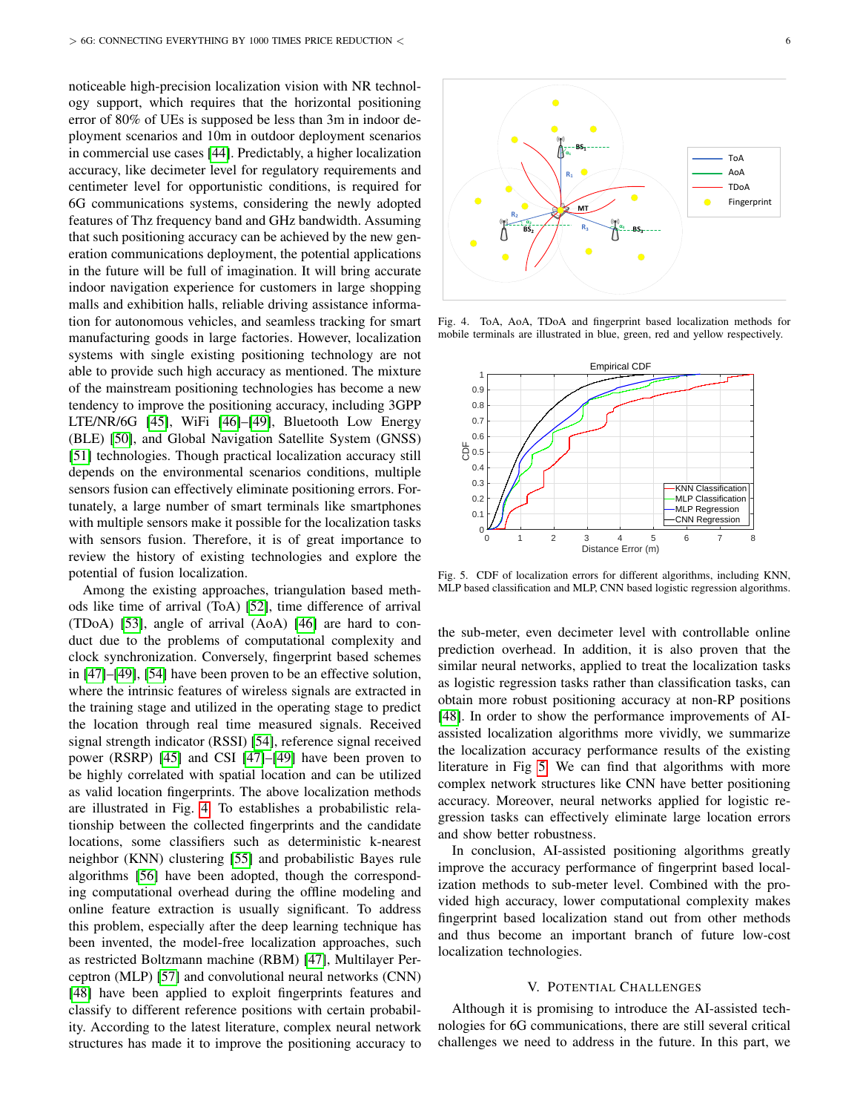noticeable high-precision localization vision with NR technology support, which requires that the horizontal positioning error of 80% of UEs is supposed be less than 3m in indoor deployment scenarios and 10m in outdoor deployment scenarios in commercial use cases [\[44\]](#page-7-22). Predictably, a higher localization accuracy, like decimeter level for regulatory requirements and centimeter level for opportunistic conditions, is required for 6G communications systems, considering the newly adopted features of Thz frequency band and GHz bandwidth. Assuming that such positioning accuracy can be achieved by the new generation communications deployment, the potential applications in the future will be full of imagination. It will bring accurate indoor navigation experience for customers in large shopping malls and exhibition halls, reliable driving assistance information for autonomous vehicles, and seamless tracking for smart manufacturing goods in large factories. However, localization systems with single existing positioning technology are not able to provide such high accuracy as mentioned. The mixture of the mainstream positioning technologies has become a new tendency to improve the positioning accuracy, including 3GPP LTE/NR/6G [\[45\]](#page-7-23), WiFi [\[46\]](#page-7-24)–[\[49\]](#page-7-25), Bluetooth Low Energy (BLE) [\[50\]](#page-7-26), and Global Navigation Satellite System (GNSS) [\[51\]](#page-7-27) technologies. Though practical localization accuracy still depends on the environmental scenarios conditions, multiple sensors fusion can effectively eliminate positioning errors. Fortunately, a large number of smart terminals like smartphones with multiple sensors make it possible for the localization tasks with sensors fusion. Therefore, it is of great importance to review the history of existing technologies and explore the potential of fusion localization.

Among the existing approaches, triangulation based methods like time of arrival (ToA) [\[52\]](#page-7-28), time difference of arrival (TDoA) [\[53\]](#page-7-29), angle of arrival (AoA) [\[46\]](#page-7-24) are hard to conduct due to the problems of computational complexity and clock synchronization. Conversely, fingerprint based schemes in [\[47\]](#page-7-30)–[\[49\]](#page-7-25), [\[54\]](#page-7-31) have been proven to be an effective solution, where the intrinsic features of wireless signals are extracted in the training stage and utilized in the operating stage to predict the location through real time measured signals. Received signal strength indicator (RSSI) [\[54\]](#page-7-31), reference signal received power (RSRP) [\[45\]](#page-7-23) and CSI [\[47\]](#page-7-30)–[\[49\]](#page-7-25) have been proven to be highly correlated with spatial location and can be utilized as valid location fingerprints. The above localization methods are illustrated in Fig. [4.](#page-5-1) To establishes a probabilistic relationship between the collected fingerprints and the candidate locations, some classifiers such as deterministic k-nearest neighbor (KNN) clustering [\[55\]](#page-7-32) and probabilistic Bayes rule algorithms [\[56\]](#page-7-33) have been adopted, though the corresponding computational overhead during the offline modeling and online feature extraction is usually significant. To address this problem, especially after the deep learning technique has been invented, the model-free localization approaches, such as restricted Boltzmann machine (RBM) [\[47\]](#page-7-30), Multilayer Perceptron (MLP) [\[57\]](#page-7-34) and convolutional neural networks (CNN) [\[48\]](#page-7-35) have been applied to exploit fingerprints features and classify to different reference positions with certain probability. According to the latest literature, complex neural network structures has made it to improve the positioning accuracy to



<span id="page-5-1"></span>Fig. 4. ToA, AoA, TDoA and fingerprint based localization methods for mobile terminals are illustrated in blue, green, red and yellow respectively.



<span id="page-5-2"></span>Fig. 5. CDF of localization errors for different algorithms, including KNN, MLP based classification and MLP, CNN based logistic regression algorithms.

the sub-meter, even decimeter level with controllable online prediction overhead. In addition, it is also proven that the similar neural networks, applied to treat the localization tasks as logistic regression tasks rather than classification tasks, can obtain more robust positioning accuracy at non-RP positions [\[48\]](#page-7-35). In order to show the performance improvements of AIassisted localization algorithms more vividly, we summarize the localization accuracy performance results of the existing literature in Fig [5.](#page-5-2) We can find that algorithms with more complex network structures like CNN have better positioning accuracy. Moreover, neural networks applied for logistic regression tasks can effectively eliminate large location errors and show better robustness.

In conclusion, AI-assisted positioning algorithms greatly improve the accuracy performance of fingerprint based localization methods to sub-meter level. Combined with the provided high accuracy, lower computational complexity makes fingerprint based localization stand out from other methods and thus become an important branch of future low-cost localization technologies.

## V. POTENTIAL CHALLENGES

<span id="page-5-0"></span>Although it is promising to introduce the AI-assisted technologies for 6G communications, there are still several critical challenges we need to address in the future. In this part, we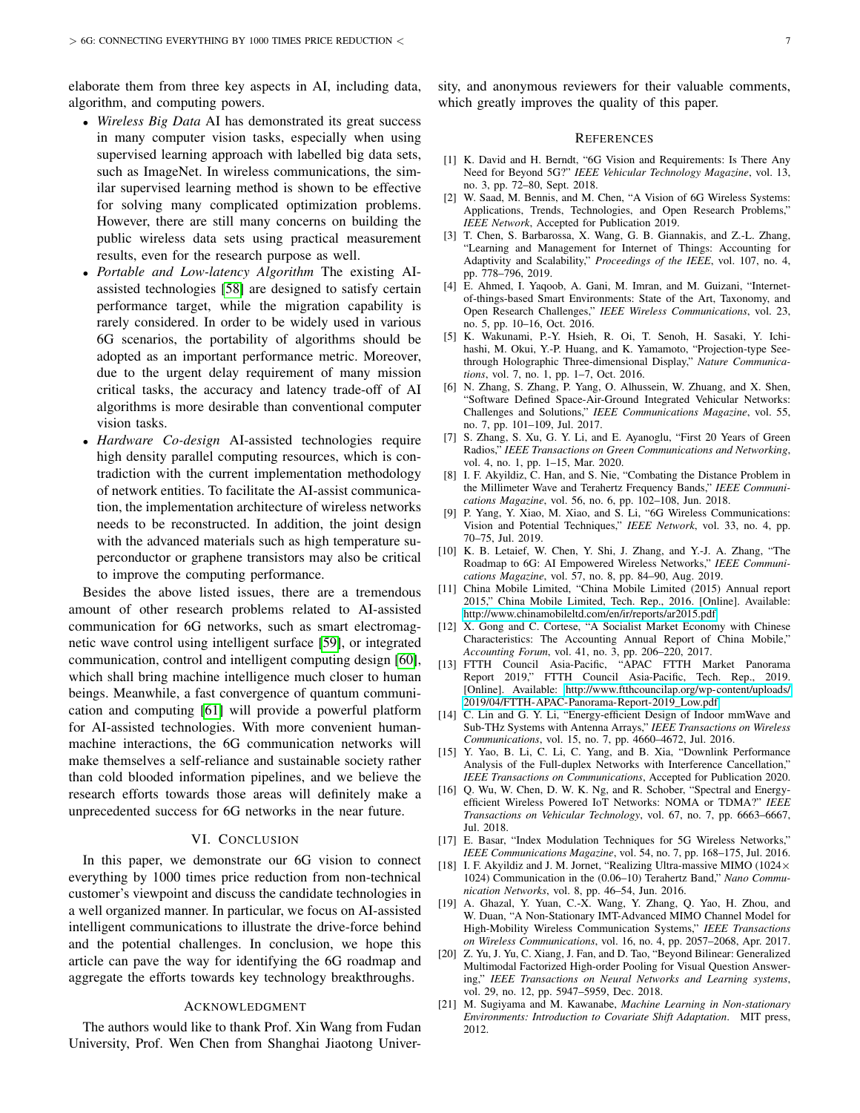elaborate them from three key aspects in AI, including data, algorithm, and computing powers.

- *Wireless Big Data* AI has demonstrated its great success in many computer vision tasks, especially when using supervised learning approach with labelled big data sets, such as ImageNet. In wireless communications, the similar supervised learning method is shown to be effective for solving many complicated optimization problems. However, there are still many concerns on building the public wireless data sets using practical measurement results, even for the research purpose as well.
- *Portable and Low-latency Algorithm* The existing AIassisted technologies [\[58\]](#page-7-36) are designed to satisfy certain performance target, while the migration capability is rarely considered. In order to be widely used in various 6G scenarios, the portability of algorithms should be adopted as an important performance metric. Moreover, due to the urgent delay requirement of many mission critical tasks, the accuracy and latency trade-off of AI algorithms is more desirable than conventional computer vision tasks.
- *Hardware Co-design* AI-assisted technologies require high density parallel computing resources, which is contradiction with the current implementation methodology of network entities. To facilitate the AI-assist communication, the implementation architecture of wireless networks needs to be reconstructed. In addition, the joint design with the advanced materials such as high temperature superconductor or graphene transistors may also be critical to improve the computing performance.

Besides the above listed issues, there are a tremendous amount of other research problems related to AI-assisted communication for 6G networks, such as smart electromagnetic wave control using intelligent surface [\[59\]](#page-7-37), or integrated communication, control and intelligent computing design [\[60\]](#page-7-38), which shall bring machine intelligence much closer to human beings. Meanwhile, a fast convergence of quantum communication and computing [\[61\]](#page-7-39) will provide a powerful platform for AI-assisted technologies. With more convenient humanmachine interactions, the 6G communication networks will make themselves a self-reliance and sustainable society rather than cold blooded information pipelines, and we believe the research efforts towards those areas will definitely make a unprecedented success for 6G networks in the near future.

#### VI. CONCLUSION

<span id="page-6-10"></span>In this paper, we demonstrate our 6G vision to connect everything by 1000 times price reduction from non-technical customer's viewpoint and discuss the candidate technologies in a well organized manner. In particular, we focus on AI-assisted intelligent communications to illustrate the drive-force behind and the potential challenges. In conclusion, we hope this article can pave the way for identifying the 6G roadmap and aggregate the efforts towards key technology breakthroughs.

## ACKNOWLEDGMENT

The authors would like to thank Prof. Xin Wang from Fudan University, Prof. Wen Chen from Shanghai Jiaotong University, and anonymous reviewers for their valuable comments, which greatly improves the quality of this paper.

#### **REFERENCES**

- <span id="page-6-0"></span>[1] K. David and H. Berndt, "6G Vision and Requirements: Is There Any Need for Beyond 5G?" *IEEE Vehicular Technology Magazine*, vol. 13, no. 3, pp. 72–80, Sept. 2018.
- <span id="page-6-4"></span>[2] W. Saad, M. Bennis, and M. Chen, "A Vision of 6G Wireless Systems: Applications, Trends, Technologies, and Open Research Problems," *IEEE Network*, Accepted for Publication 2019.
- <span id="page-6-1"></span>[3] T. Chen, S. Barbarossa, X. Wang, G. B. Giannakis, and Z.-L. Zhang, "Learning and Management for Internet of Things: Accounting for Adaptivity and Scalability," *Proceedings of the IEEE*, vol. 107, no. 4, pp. 778–796, 2019.
- <span id="page-6-2"></span>[4] E. Ahmed, I. Yaqoob, A. Gani, M. Imran, and M. Guizani, "Internetof-things-based Smart Environments: State of the Art, Taxonomy, and Open Research Challenges," *IEEE Wireless Communications*, vol. 23, no. 5, pp. 10–16, Oct. 2016.
- <span id="page-6-3"></span>[5] K. Wakunami, P.-Y. Hsieh, R. Oi, T. Senoh, H. Sasaki, Y. Ichihashi, M. Okui, Y.-P. Huang, and K. Yamamoto, "Projection-type Seethrough Holographic Three-dimensional Display," *Nature Communications*, vol. 7, no. 1, pp. 1–7, Oct. 2016.
- <span id="page-6-5"></span>[6] N. Zhang, S. Zhang, P. Yang, O. Alhussein, W. Zhuang, and X. Shen, "Software Defined Space-Air-Ground Integrated Vehicular Networks: Challenges and Solutions," *IEEE Communications Magazine*, vol. 55, no. 7, pp. 101–109, Jul. 2017.
- <span id="page-6-6"></span>[7] S. Zhang, S. Xu, G. Y. Li, and E. Ayanoglu, "First 20 Years of Green Radios," *IEEE Transactions on Green Communications and Networking*, vol. 4, no. 1, pp. 1–15, Mar. 2020.
- <span id="page-6-7"></span>[8] I. F. Akyildiz, C. Han, and S. Nie, "Combating the Distance Problem in the Millimeter Wave and Terahertz Frequency Bands," *IEEE Communications Magazine*, vol. 56, no. 6, pp. 102–108, Jun. 2018.
- <span id="page-6-8"></span>[9] P. Yang, Y. Xiao, M. Xiao, and S. Li, "6G Wireless Communications: Vision and Potential Techniques," *IEEE Network*, vol. 33, no. 4, pp. 70–75, Jul. 2019.
- <span id="page-6-9"></span>[10] K. B. Letaief, W. Chen, Y. Shi, J. Zhang, and Y.-J. A. Zhang, "The Roadmap to 6G: AI Empowered Wireless Networks," *IEEE Communications Magazine*, vol. 57, no. 8, pp. 84–90, Aug. 2019.
- <span id="page-6-11"></span>[11] China Mobile Limited, "China Mobile Limited (2015) Annual report 2015," China Mobile Limited, Tech. Rep., 2016. [Online]. Available: <http://www.chinamobileltd.com/en/ir/reports/ar2015.pdf>
- <span id="page-6-12"></span>[12] X. Gong and C. Cortese, "A Socialist Market Economy with Chinese Characteristics: The Accounting Annual Report of China Mobile," *Accounting Forum*, vol. 41, no. 3, pp. 206–220, 2017.
- <span id="page-6-13"></span>[13] FTTH Council Asia-Pacific, "APAC FTTH Market Panorama Report 2019," FTTH Council Asia-Pacific, Tech. Rep., 2019. [Online]. Available: [http://www.ftthcouncilap.org/wp-content/uploads/](http://www.ftthcouncilap.org/wp-content/uploads/2019/04/FTTH-APAC-Panorama-Report-2019_Low.pdf) [2019/04/FTTH-APAC-Panorama-Report-2019\\_Low.pdf](http://www.ftthcouncilap.org/wp-content/uploads/2019/04/FTTH-APAC-Panorama-Report-2019_Low.pdf)
- <span id="page-6-14"></span>[14] C. Lin and G. Y. Li, "Energy-efficient Design of Indoor mmWave and Sub-THz Systems with Antenna Arrays," *IEEE Transactions on Wireless Communications*, vol. 15, no. 7, pp. 4660–4672, Jul. 2016.
- <span id="page-6-15"></span>[15] Y. Yao, B. Li, C. Li, C. Yang, and B. Xia, "Downlink Performance Analysis of the Full-duplex Networks with Interference Cancellation," *IEEE Transactions on Communications*, Accepted for Publication 2020.
- <span id="page-6-16"></span>[16] Q. Wu, W. Chen, D. W. K. Ng, and R. Schober, "Spectral and Energyefficient Wireless Powered IoT Networks: NOMA or TDMA?" *IEEE Transactions on Vehicular Technology*, vol. 67, no. 7, pp. 6663–6667, Jul. 2018.
- <span id="page-6-17"></span>[17] E. Basar, "Index Modulation Techniques for 5G Wireless Networks," *IEEE Communications Magazine*, vol. 54, no. 7, pp. 168–175, Jul. 2016.
- <span id="page-6-18"></span>[18] I. F. Akyildiz and J. M. Jornet, "Realizing Ultra-massive MIMO (1024× 1024) Communication in the (0.06–10) Terahertz Band," *Nano Communication Networks*, vol. 8, pp. 46–54, Jun. 2016.
- <span id="page-6-19"></span>[19] A. Ghazal, Y. Yuan, C.-X. Wang, Y. Zhang, Q. Yao, H. Zhou, and W. Duan, "A Non-Stationary IMT-Advanced MIMO Channel Model for High-Mobility Wireless Communication Systems," *IEEE Transactions on Wireless Communications*, vol. 16, no. 4, pp. 2057–2068, Apr. 2017.
- <span id="page-6-20"></span>[20] Z. Yu, J. Yu, C. Xiang, J. Fan, and D. Tao, "Beyond Bilinear: Generalized Multimodal Factorized High-order Pooling for Visual Question Answering," *IEEE Transactions on Neural Networks and Learning systems*, vol. 29, no. 12, pp. 5947–5959, Dec. 2018.
- <span id="page-6-21"></span>[21] M. Sugiyama and M. Kawanabe, *Machine Learning in Non-stationary Environments: Introduction to Covariate Shift Adaptation*. MIT press, 2012.